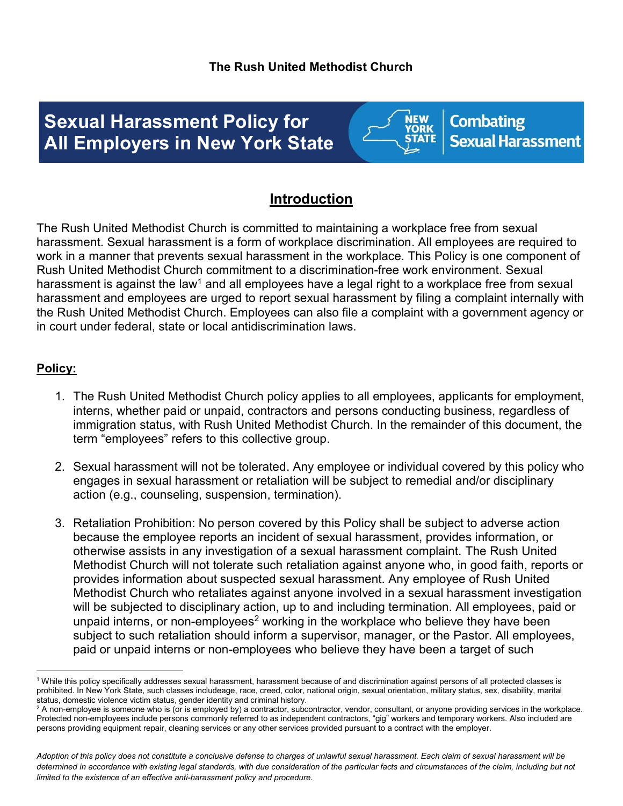ŃEW<br>YORK

**Combating** 

**Sexual Harassment** 

# Sexual Harassment Policy for All Employers in New York State

# Introduction

The Rush United Methodist Church is committed to maintaining a workplace free from sexual harassment. Sexual harassment is a form of workplace discrimination. All employees are required to work in a manner that prevents sexual harassment in the workplace. This Policy is one component of Rush United Methodist Church commitment to a discrimination-free work environment. Sexual harassment is against the law<sup>1</sup> and all employees have a legal right to a workplace free from sexual harassment and employees are urged to report sexual harassment by filing a complaint internally with the Rush United Methodist Church. Employees can also file a complaint with a government agency or in court under federal, state or local antidiscrimination laws.

### Policy:

- 1. The Rush United Methodist Church policy applies to all employees, applicants for employment, interns, whether paid or unpaid, contractors and persons conducting business, regardless of immigration status, with Rush United Methodist Church. In the remainder of this document, the term "employees" refers to this collective group.
- 2. Sexual harassment will not be tolerated. Any employee or individual covered by this policy who engages in sexual harassment or retaliation will be subject to remedial and/or disciplinary action (e.g., counseling, suspension, termination).
- 3. Retaliation Prohibition: No person covered by this Policy shall be subject to adverse action because the employee reports an incident of sexual harassment, provides information, or otherwise assists in any investigation of a sexual harassment complaint. The Rush United Methodist Church will not tolerate such retaliation against anyone who, in good faith, reports or provides information about suspected sexual harassment. Any employee of Rush United Methodist Church who retaliates against anyone involved in a sexual harassment investigation will be subjected to disciplinary action, up to and including termination. All employees, paid or unpaid interns, or non-employees $^2$  working in the workplace who believe they have been subject to such retaliation should inform a supervisor, manager, or the Pastor. All employees, paid or unpaid interns or non-employees who believe they have been a target of such

<sup>1</sup> While this policy specifically addresses sexual harassment, harassment because of and discrimination against persons of all protected classes is prohibited. In New York State, such classes includeage, race, creed, color, national origin, sexual orientation, military status, sex, disability, marital status, domestic violence victim status, gender identity and criminal history.

 $^2$  A non-employee is someone who is (or is employed by) a contractor, subcontractor, vendor, consultant, or anyone providing services in the workplace. Protected non-employees include persons commonly referred to as independent contractors, "gig" workers and temporary workers. Also included are persons providing equipment repair, cleaning services or any other services provided pursuant to a contract with the employer.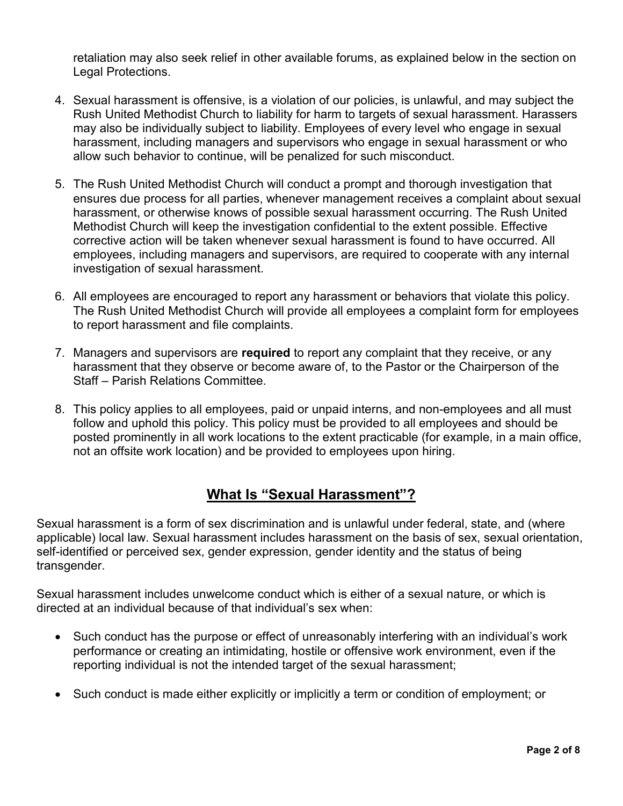retaliation may also seek relief in other available forums, as explained below in the section on Legal Protections.

- 4. Sexual harassment is offensive, is a violation of our policies, is unlawful, and may subject the Rush United Methodist Church to liability for harm to targets of sexual harassment. Harassers may also be individually subject to liability. Employees of every level who engage in sexual harassment, including managers and supervisors who engage in sexual harassment or who allow such behavior to continue, will be penalized for such misconduct.
- 5. The Rush United Methodist Church will conduct a prompt and thorough investigation that ensures due process for all parties, whenever management receives a complaint about sexual harassment, or otherwise knows of possible sexual harassment occurring. The Rush United Methodist Church will keep the investigation confidential to the extent possible. Effective corrective action will be taken whenever sexual harassment is found to have occurred. All employees, including managers and supervisors, are required to cooperate with any internal investigation of sexual harassment.
- 6. All employees are encouraged to report any harassment or behaviors that violate this policy. The Rush United Methodist Church will provide all employees a complaint form for employees to report harassment and file complaints.
- 7. Managers and supervisors are required to report any complaint that they receive, or any harassment that they observe or become aware of, to the Pastor or the Chairperson of the Staff – Parish Relations Committee.
- 8. This policy applies to all employees, paid or unpaid interns, and non-employees and all must follow and uphold this policy. This policy must be provided to all employees and should be posted prominently in all work locations to the extent practicable (for example, in a main office, not an offsite work location) and be provided to employees upon hiring.

# What Is "Sexual Harassment"?

Sexual harassment is a form of sex discrimination and is unlawful under federal, state, and (where applicable) local law. Sexual harassment includes harassment on the basis of sex, sexual orientation, self-identified or perceived sex, gender expression, gender identity and the status of being transgender.

Sexual harassment includes unwelcome conduct which is either of a sexual nature, or which is directed at an individual because of that individual's sex when:

- Such conduct has the purpose or effect of unreasonably interfering with an individual's work performance or creating an intimidating, hostile or offensive work environment, even if the reporting individual is not the intended target of the sexual harassment;
- Such conduct is made either explicitly or implicitly a term or condition of employment; or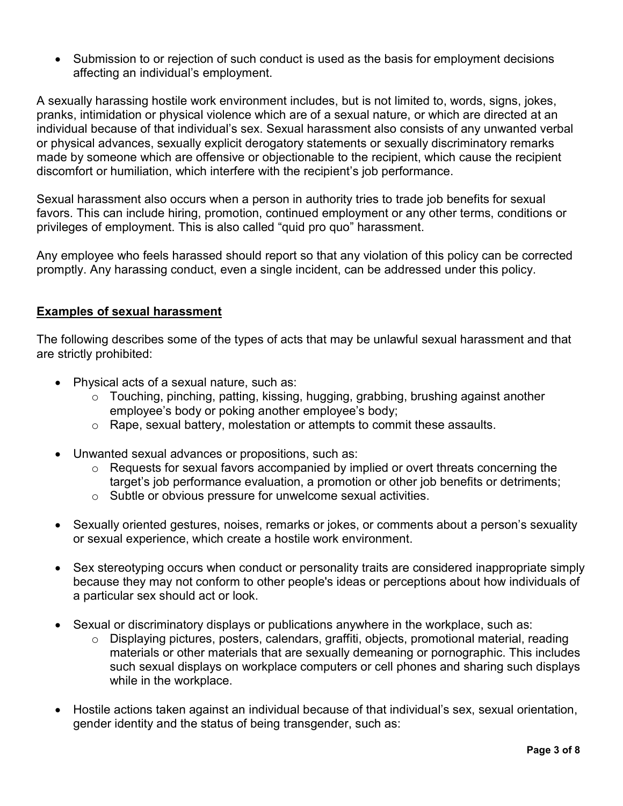• Submission to or rejection of such conduct is used as the basis for employment decisions affecting an individual's employment.

A sexually harassing hostile work environment includes, but is not limited to, words, signs, jokes, pranks, intimidation or physical violence which are of a sexual nature, or which are directed at an individual because of that individual's sex. Sexual harassment also consists of any unwanted verbal or physical advances, sexually explicit derogatory statements or sexually discriminatory remarks made by someone which are offensive or objectionable to the recipient, which cause the recipient discomfort or humiliation, which interfere with the recipient's job performance.

Sexual harassment also occurs when a person in authority tries to trade job benefits for sexual favors. This can include hiring, promotion, continued employment or any other terms, conditions or privileges of employment. This is also called "quid pro quo" harassment.

Any employee who feels harassed should report so that any violation of this policy can be corrected promptly. Any harassing conduct, even a single incident, can be addressed under this policy.

#### Examples of sexual harassment

The following describes some of the types of acts that may be unlawful sexual harassment and that are strictly prohibited:

- Physical acts of a sexual nature, such as:
	- o Touching, pinching, patting, kissing, hugging, grabbing, brushing against another employee's body or poking another employee's body;
	- o Rape, sexual battery, molestation or attempts to commit these assaults.
- Unwanted sexual advances or propositions, such as:
	- $\circ$  Requests for sexual favors accompanied by implied or overt threats concerning the target's job performance evaluation, a promotion or other job benefits or detriments;
	- o Subtle or obvious pressure for unwelcome sexual activities.
- Sexually oriented gestures, noises, remarks or jokes, or comments about a person's sexuality or sexual experience, which create a hostile work environment.
- Sex stereotyping occurs when conduct or personality traits are considered inappropriate simply because they may not conform to other people's ideas or perceptions about how individuals of a particular sex should act or look.
- Sexual or discriminatory displays or publications anywhere in the workplace, such as:
	- o Displaying pictures, posters, calendars, graffiti, objects, promotional material, reading materials or other materials that are sexually demeaning or pornographic. This includes such sexual displays on workplace computers or cell phones and sharing such displays while in the workplace.
- Hostile actions taken against an individual because of that individual's sex, sexual orientation, gender identity and the status of being transgender, such as: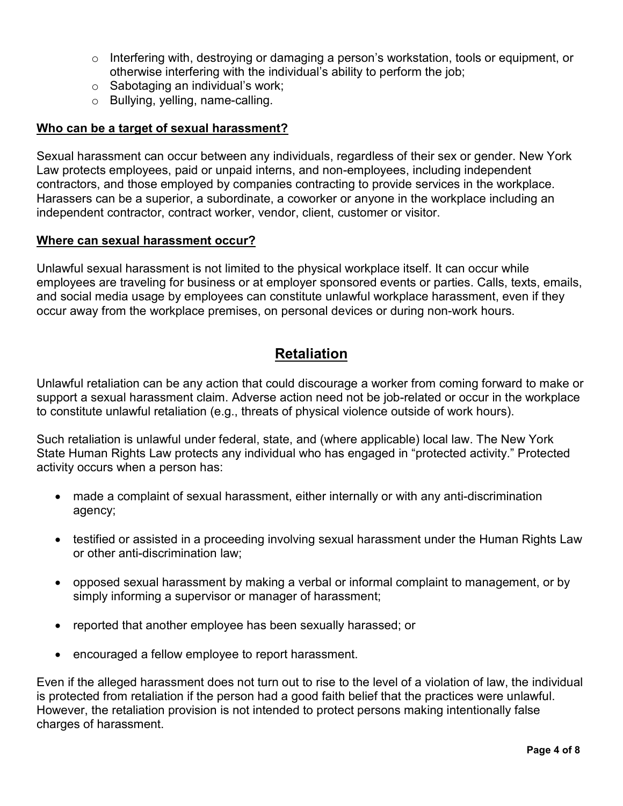- $\circ$  Interfering with, destroying or damaging a person's workstation, tools or equipment, or otherwise interfering with the individual's ability to perform the job;
- $\circ$  Sabotaging an individual's work;
- o Bullying, yelling, name-calling.

#### Who can be a target of sexual harassment?

Sexual harassment can occur between any individuals, regardless of their sex or gender. New York Law protects employees, paid or unpaid interns, and non-employees, including independent contractors, and those employed by companies contracting to provide services in the workplace. Harassers can be a superior, a subordinate, a coworker or anyone in the workplace including an independent contractor, contract worker, vendor, client, customer or visitor.

#### Where can sexual harassment occur?

Unlawful sexual harassment is not limited to the physical workplace itself. It can occur while employees are traveling for business or at employer sponsored events or parties. Calls, texts, emails, and social media usage by employees can constitute unlawful workplace harassment, even if they occur away from the workplace premises, on personal devices or during non-work hours.

### Retaliation

Unlawful retaliation can be any action that could discourage a worker from coming forward to make or support a sexual harassment claim. Adverse action need not be job-related or occur in the workplace to constitute unlawful retaliation (e.g., threats of physical violence outside of work hours).

Such retaliation is unlawful under federal, state, and (where applicable) local law. The New York State Human Rights Law protects any individual who has engaged in "protected activity." Protected activity occurs when a person has:

- made a complaint of sexual harassment, either internally or with any anti-discrimination agency;
- testified or assisted in a proceeding involving sexual harassment under the Human Rights Law or other anti-discrimination law;
- opposed sexual harassment by making a verbal or informal complaint to management, or by simply informing a supervisor or manager of harassment;
- reported that another employee has been sexually harassed; or
- encouraged a fellow employee to report harassment.

Even if the alleged harassment does not turn out to rise to the level of a violation of law, the individual is protected from retaliation if the person had a good faith belief that the practices were unlawful. However, the retaliation provision is not intended to protect persons making intentionally false charges of harassment.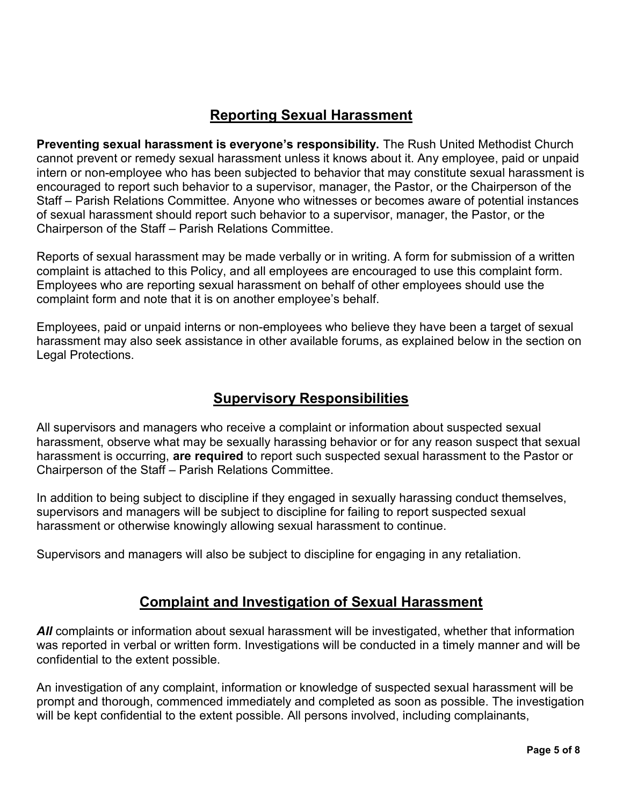# Reporting Sexual Harassment

Preventing sexual harassment is everyone's responsibility. The Rush United Methodist Church cannot prevent or remedy sexual harassment unless it knows about it. Any employee, paid or unpaid intern or non-employee who has been subjected to behavior that may constitute sexual harassment is encouraged to report such behavior to a supervisor, manager, the Pastor, or the Chairperson of the Staff – Parish Relations Committee. Anyone who witnesses or becomes aware of potential instances of sexual harassment should report such behavior to a supervisor, manager, the Pastor, or the Chairperson of the Staff – Parish Relations Committee.

Reports of sexual harassment may be made verbally or in writing. A form for submission of a written complaint is attached to this Policy, and all employees are encouraged to use this complaint form. Employees who are reporting sexual harassment on behalf of other employees should use the complaint form and note that it is on another employee's behalf.

Employees, paid or unpaid interns or non-employees who believe they have been a target of sexual harassment may also seek assistance in other available forums, as explained below in the section on Legal Protections.

# Supervisory Responsibilities

All supervisors and managers who receive a complaint or information about suspected sexual harassment, observe what may be sexually harassing behavior or for any reason suspect that sexual harassment is occurring, are required to report such suspected sexual harassment to the Pastor or Chairperson of the Staff – Parish Relations Committee.

In addition to being subject to discipline if they engaged in sexually harassing conduct themselves, supervisors and managers will be subject to discipline for failing to report suspected sexual harassment or otherwise knowingly allowing sexual harassment to continue.

Supervisors and managers will also be subject to discipline for engaging in any retaliation.

### Complaint and Investigation of Sexual Harassment

All complaints or information about sexual harassment will be investigated, whether that information was reported in verbal or written form. Investigations will be conducted in a timely manner and will be confidential to the extent possible.

An investigation of any complaint, information or knowledge of suspected sexual harassment will be prompt and thorough, commenced immediately and completed as soon as possible. The investigation will be kept confidential to the extent possible. All persons involved, including complainants,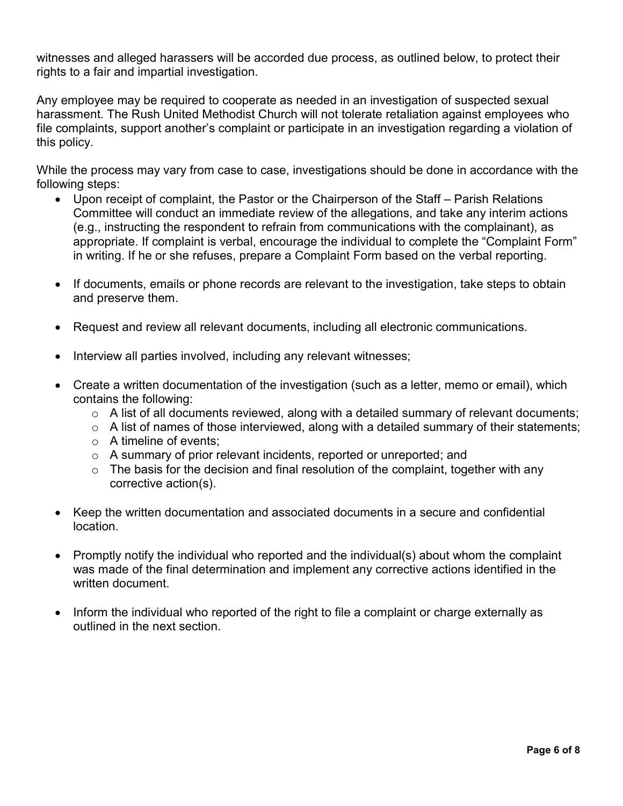witnesses and alleged harassers will be accorded due process, as outlined below, to protect their rights to a fair and impartial investigation.

Any employee may be required to cooperate as needed in an investigation of suspected sexual harassment. The Rush United Methodist Church will not tolerate retaliation against employees who file complaints, support another's complaint or participate in an investigation regarding a violation of this policy.

While the process may vary from case to case, investigations should be done in accordance with the following steps:

- Upon receipt of complaint, the Pastor or the Chairperson of the Staff Parish Relations Committee will conduct an immediate review of the allegations, and take any interim actions (e.g., instructing the respondent to refrain from communications with the complainant), as appropriate. If complaint is verbal, encourage the individual to complete the "Complaint Form" in writing. If he or she refuses, prepare a Complaint Form based on the verbal reporting.
- If documents, emails or phone records are relevant to the investigation, take steps to obtain and preserve them.
- Request and review all relevant documents, including all electronic communications.
- Interview all parties involved, including any relevant witnesses;
- Create a written documentation of the investigation (such as a letter, memo or email), which contains the following:
	- $\circ$  A list of all documents reviewed, along with a detailed summary of relevant documents;
	- $\circ$  A list of names of those interviewed, along with a detailed summary of their statements;
	- o A timeline of events;
	- o A summary of prior relevant incidents, reported or unreported; and
	- $\circ$  The basis for the decision and final resolution of the complaint, together with any corrective action(s).
- Keep the written documentation and associated documents in a secure and confidential location.
- Promptly notify the individual who reported and the individual(s) about whom the complaint was made of the final determination and implement any corrective actions identified in the written document.
- Inform the individual who reported of the right to file a complaint or charge externally as outlined in the next section.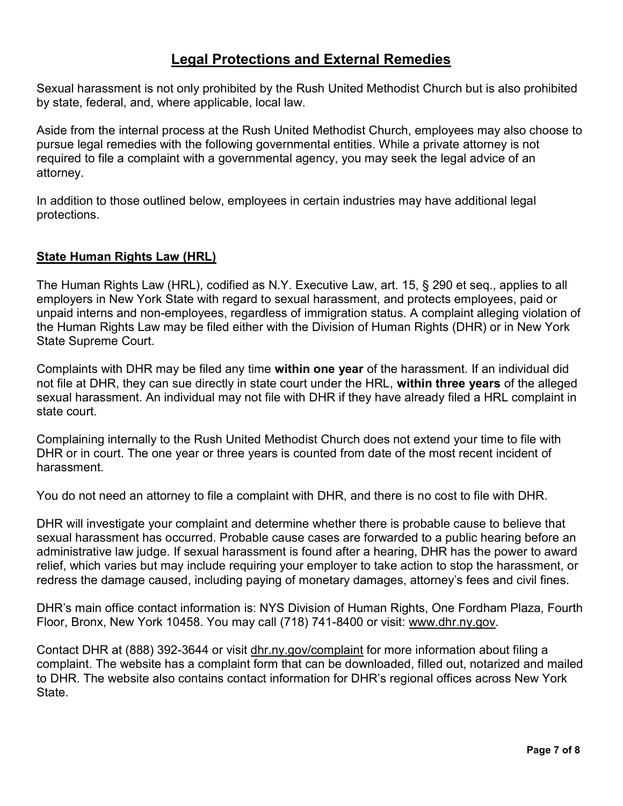### Legal Protections and External Remedies

Sexual harassment is not only prohibited by the Rush United Methodist Church but is also prohibited by state, federal, and, where applicable, local law.

Aside from the internal process at the Rush United Methodist Church, employees may also choose to pursue legal remedies with the following governmental entities. While a private attorney is not required to file a complaint with a governmental agency, you may seek the legal advice of an attorney.

In addition to those outlined below, employees in certain industries may have additional legal protections.

#### State Human Rights Law (HRL)

The Human Rights Law (HRL), codified as N.Y. Executive Law, art. 15, § 290 et seq., applies to all employers in New York State with regard to sexual harassment, and protects employees, paid or unpaid interns and non-employees, regardless of immigration status. A complaint alleging violation of the Human Rights Law may be filed either with the Division of Human Rights (DHR) or in New York State Supreme Court.

Complaints with DHR may be filed any time within one year of the harassment. If an individual did not file at DHR, they can sue directly in state court under the HRL, within three years of the alleged sexual harassment. An individual may not file with DHR if they have already filed a HRL complaint in state court.

Complaining internally to the Rush United Methodist Church does not extend your time to file with DHR or in court. The one year or three years is counted from date of the most recent incident of harassment.

You do not need an attorney to file a complaint with DHR, and there is no cost to file with DHR.

DHR will investigate your complaint and determine whether there is probable cause to believe that sexual harassment has occurred. Probable cause cases are forwarded to a public hearing before an administrative law judge. If sexual harassment is found after a hearing, DHR has the power to award relief, which varies but may include requiring your employer to take action to stop the harassment, or redress the damage caused, including paying of monetary damages, attorney's fees and civil fines.

DHR's main office contact information is: NYS Division of Human Rights, One Fordham Plaza, Fourth Floor, Bronx, New York 10458. You may call (718) 741-8400 or visit: www.dhr.ny.gov.

Contact DHR at (888) 392-3644 or visit dhr.ny.gov/complaint for more information about filing a complaint. The website has a complaint form that can be downloaded, filled out, notarized and mailed to DHR. The website also contains contact information for DHR's regional offices across New York **State**